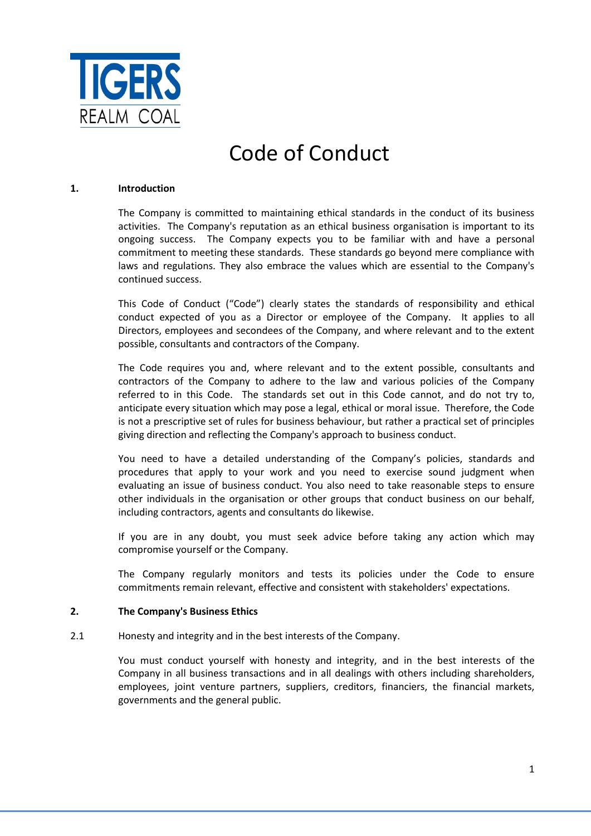

# Code of Conduct

#### **1. Introduction**

The Company is committed to maintaining ethical standards in the conduct of its business activities. The Company's reputation as an ethical business organisation is important to its ongoing success. The Company expects you to be familiar with and have a personal commitment to meeting these standards. These standards go beyond mere compliance with laws and regulations. They also embrace the values which are essential to the Company's continued success.

This Code of Conduct ("Code") clearly states the standards of responsibility and ethical conduct expected of you as a Director or employee of the Company. It applies to all Directors, employees and secondees of the Company, and where relevant and to the extent possible, consultants and contractors of the Company.

The Code requires you and, where relevant and to the extent possible, consultants and contractors of the Company to adhere to the law and various policies of the Company referred to in this Code. The standards set out in this Code cannot, and do not try to, anticipate every situation which may pose a legal, ethical or moral issue. Therefore, the Code is not a prescriptive set of rules for business behaviour, but rather a practical set of principles giving direction and reflecting the Company's approach to business conduct.

You need to have a detailed understanding of the Company's policies, standards and procedures that apply to your work and you need to exercise sound judgment when evaluating an issue of business conduct. You also need to take reasonable steps to ensure other individuals in the organisation or other groups that conduct business on our behalf, including contractors, agents and consultants do likewise.

If you are in any doubt, you must seek advice before taking any action which may compromise yourself or the Company.

The Company regularly monitors and tests its policies under the Code to ensure commitments remain relevant, effective and consistent with stakeholders' expectations.

### **2. The Company's Business Ethics**

2.1 Honesty and integrity and in the best interests of the Company.

You must conduct yourself with honesty and integrity, and in the best interests of the Company in all business transactions and in all dealings with others including shareholders, employees, joint venture partners, suppliers, creditors, financiers, the financial markets, governments and the general public.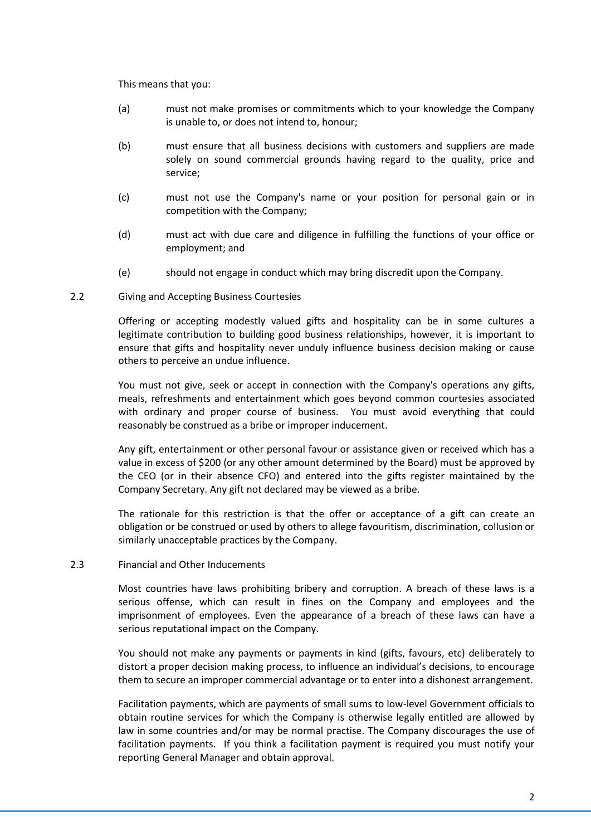This means that you:

- (a) must not make promises or commitments which to your knowledge the Company is unable to, or does not intend to, honour;
- (b) must ensure that all business decisions with customers and suppliers are made solely on sound commercial grounds having regard to the quality, price and service;
- (c) must not use the Company's name or your position for personal gain or in competition with the Company;
- (d) must act with due care and diligence in fulfilling the functions of your office or employment; and
- (e) should not engage in conduct which may bring discredit upon the Company.

### 2.2 Giving and Accepting Business Courtesies

Offering or accepting modestly valued gifts and hospitality can be in some cultures a legitimate contribution to building good business relationships, however, it is important to ensure that gifts and hospitality never unduly influence business decision making or cause others to perceive an undue influence.

You must not give, seek or accept in connection with the Company's operations any gifts, meals, refreshments and entertainment which goes beyond common courtesies associated with ordinary and proper course of business. You must avoid everything that could reasonably be construed as a bribe or improper inducement.

Any gift, entertainment or other personal favour or assistance given or received which has a value in excess of \$200 (or any other amount determined by the Board) must be approved by the CEO (or in their absence CFO) and entered into the gifts register maintained by the Company Secretary. Any gift not declared may be viewed as a bribe.

The rationale for this restriction is that the offer or acceptance of a gift can create an obligation or be construed or used by others to allege favouritism, discrimination, collusion or similarly unacceptable practices by the Company.

### 2.3 Financial and Other Inducements

Most countries have laws prohibiting bribery and corruption. A breach of these laws is a serious offense, which can result in fines on the Company and employees and the imprisonment of employees. Even the appearance of a breach of these laws can have a serious reputational impact on the Company.

You should not make any payments or payments in kind (gifts, favours, etc) deliberately to distort a proper decision making process, to influence an individual's decisions, to encourage them to secure an improper commercial advantage or to enter into a dishonest arrangement.

Facilitation payments, which are payments of small sums to low-level Government officials to obtain routine services for which the Company is otherwise legally entitled are allowed by law in some countries and/or may be normal practise. The Company discourages the use of facilitation payments. If you think a facilitation payment is required you must notify your reporting General Manager and obtain approval.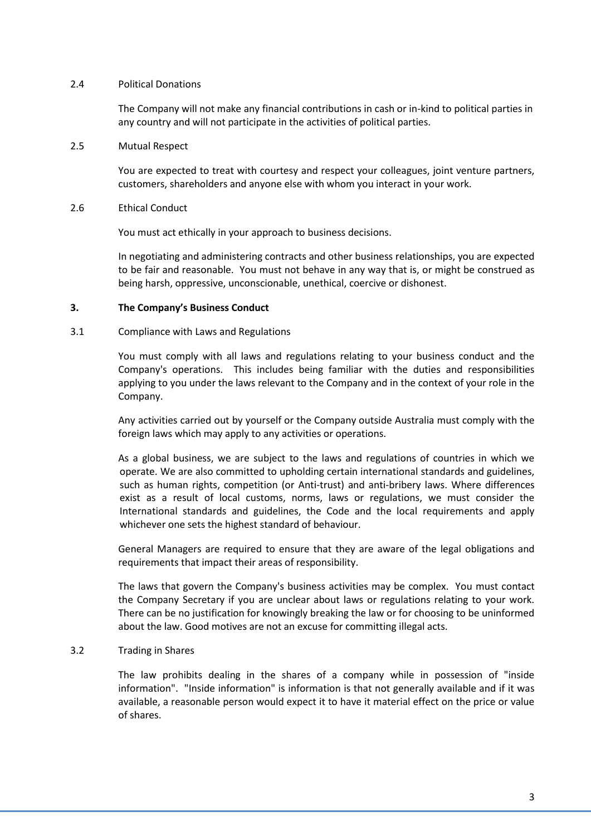#### 2.4 Political Donations

The Company will not make any financial contributions in cash or in-kind to political parties in any country and will not participate in the activities of political parties.

2.5 Mutual Respect

You are expected to treat with courtesy and respect your colleagues, joint venture partners, customers, shareholders and anyone else with whom you interact in your work.

2.6 Ethical Conduct

You must act ethically in your approach to business decisions.

In negotiating and administering contracts and other business relationships, you are expected to be fair and reasonable. You must not behave in any way that is, or might be construed as being harsh, oppressive, unconscionable, unethical, coercive or dishonest.

#### **3. The Company's Business Conduct**

#### 3.1 Compliance with Laws and Regulations

You must comply with all laws and regulations relating to your business conduct and the Company's operations. This includes being familiar with the duties and responsibilities applying to you under the laws relevant to the Company and in the context of your role in the Company.

Any activities carried out by yourself or the Company outside Australia must comply with the foreign laws which may apply to any activities or operations.

As a global business, we are subject to the laws and regulations of countries in which we operate. We are also committed to upholding certain international standards and guidelines, such as human rights, competition (or Anti-trust) and anti-bribery laws. Where differences exist as a result of local customs, norms, laws or regulations, we must consider the International standards and guidelines, the Code and the local requirements and apply whichever one sets the highest standard of behaviour.

General Managers are required to ensure that they are aware of the legal obligations and requirements that impact their areas of responsibility.

The laws that govern the Company's business activities may be complex. You must contact the Company Secretary if you are unclear about laws or regulations relating to your work. There can be no justification for knowingly breaking the law or for choosing to be uninformed about the law. Good motives are not an excuse for committing illegal acts.

### 3.2 Trading in Shares

The law prohibits dealing in the shares of a company while in possession of "inside information". "Inside information" is information is that not generally available and if it was available, a reasonable person would expect it to have it material effect on the price or value of shares.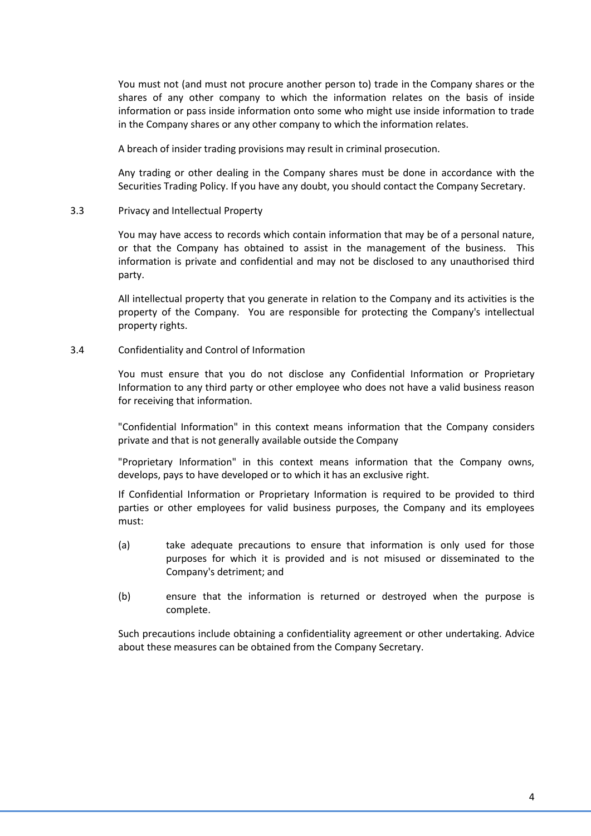You must not (and must not procure another person to) trade in the Company shares or the shares of any other company to which the information relates on the basis of inside information or pass inside information onto some who might use inside information to trade in the Company shares or any other company to which the information relates.

A breach of insider trading provisions may result in criminal prosecution.

Any trading or other dealing in the Company shares must be done in accordance with the Securities Trading Policy. If you have any doubt, you should contact the Company Secretary.

#### 3.3 Privacy and Intellectual Property

You may have access to records which contain information that may be of a personal nature, or that the Company has obtained to assist in the management of the business. This information is private and confidential and may not be disclosed to any unauthorised third party.

All intellectual property that you generate in relation to the Company and its activities is the property of the Company. You are responsible for protecting the Company's intellectual property rights.

#### 3.4 Confidentiality and Control of Information

You must ensure that you do not disclose any Confidential Information or Proprietary Information to any third party or other employee who does not have a valid business reason for receiving that information.

"Confidential Information" in this context means information that the Company considers private and that is not generally available outside the Company

"Proprietary Information" in this context means information that the Company owns, develops, pays to have developed or to which it has an exclusive right.

If Confidential Information or Proprietary Information is required to be provided to third parties or other employees for valid business purposes, the Company and its employees must:

- (a) take adequate precautions to ensure that information is only used for those purposes for which it is provided and is not misused or disseminated to the Company's detriment; and
- (b) ensure that the information is returned or destroyed when the purpose is complete.

Such precautions include obtaining a confidentiality agreement or other undertaking. Advice about these measures can be obtained from the Company Secretary.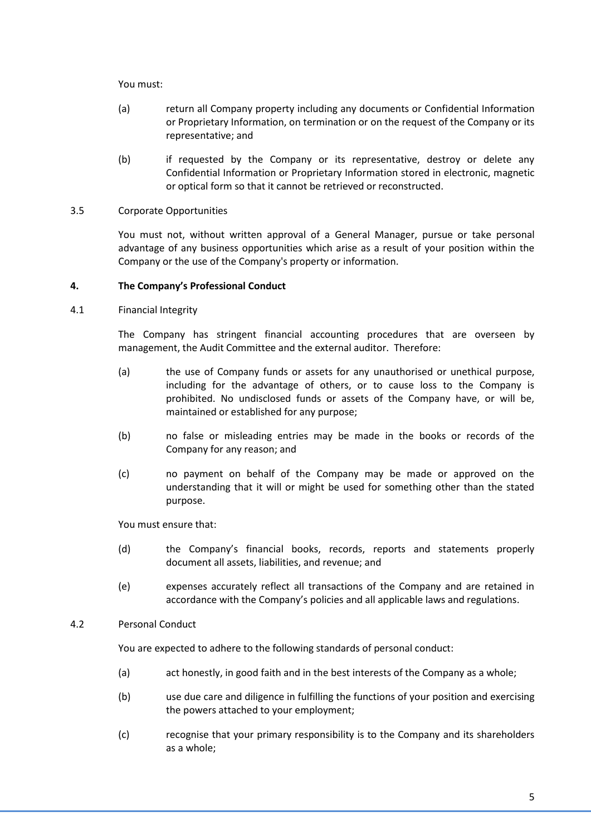You must:

- (a) return all Company property including any documents or Confidential Information or Proprietary Information, on termination or on the request of the Company or its representative; and
- (b) if requested by the Company or its representative, destroy or delete any Confidential Information or Proprietary Information stored in electronic, magnetic or optical form so that it cannot be retrieved or reconstructed.

# 3.5 Corporate Opportunities

You must not, without written approval of a General Manager, pursue or take personal advantage of any business opportunities which arise as a result of your position within the Company or the use of the Company's property or information.

# **4. The Company's Professional Conduct**

4.1 Financial Integrity

The Company has stringent financial accounting procedures that are overseen by management, the Audit Committee and the external auditor. Therefore:

- (a) the use of Company funds or assets for any unauthorised or unethical purpose, including for the advantage of others, or to cause loss to the Company is prohibited. No undisclosed funds or assets of the Company have, or will be, maintained or established for any purpose;
- (b) no false or misleading entries may be made in the books or records of the Company for any reason; and
- (c) no payment on behalf of the Company may be made or approved on the understanding that it will or might be used for something other than the stated purpose.

You must ensure that:

- (d) the Company's financial books, records, reports and statements properly document all assets, liabilities, and revenue; and
- (e) expenses accurately reflect all transactions of the Company and are retained in accordance with the Company's policies and all applicable laws and regulations.

# 4.2 Personal Conduct

You are expected to adhere to the following standards of personal conduct:

- (a) act honestly, in good faith and in the best interests of the Company as a whole;
- (b) use due care and diligence in fulfilling the functions of your position and exercising the powers attached to your employment;
- (c) recognise that your primary responsibility is to the Company and its shareholders as a whole;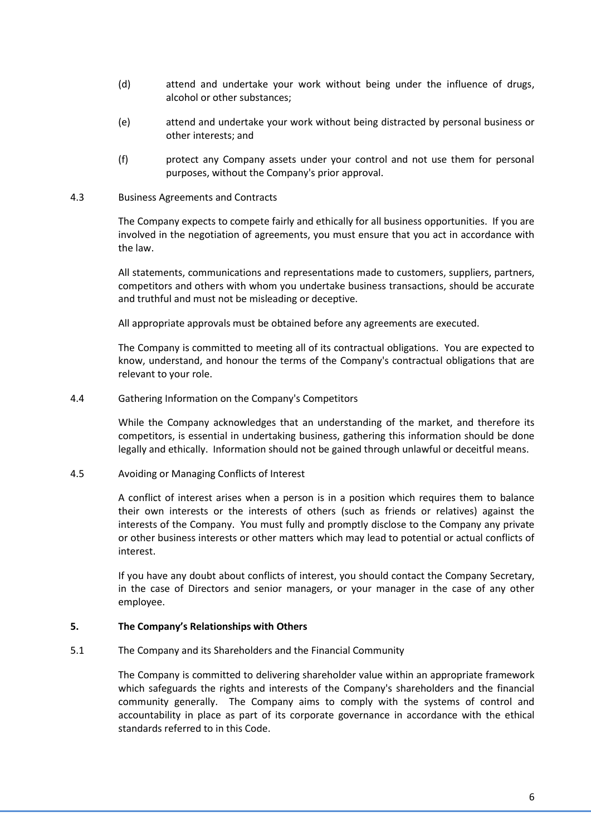- (d) attend and undertake your work without being under the influence of drugs, alcohol or other substances;
- (e) attend and undertake your work without being distracted by personal business or other interests; and
- (f) protect any Company assets under your control and not use them for personal purposes, without the Company's prior approval.
- 4.3 Business Agreements and Contracts

The Company expects to compete fairly and ethically for all business opportunities. If you are involved in the negotiation of agreements, you must ensure that you act in accordance with the law.

All statements, communications and representations made to customers, suppliers, partners, competitors and others with whom you undertake business transactions, should be accurate and truthful and must not be misleading or deceptive.

All appropriate approvals must be obtained before any agreements are executed.

The Company is committed to meeting all of its contractual obligations. You are expected to know, understand, and honour the terms of the Company's contractual obligations that are relevant to your role.

4.4 Gathering Information on the Company's Competitors

While the Company acknowledges that an understanding of the market, and therefore its competitors, is essential in undertaking business, gathering this information should be done legally and ethically. Information should not be gained through unlawful or deceitful means.

4.5 Avoiding or Managing Conflicts of Interest

A conflict of interest arises when a person is in a position which requires them to balance their own interests or the interests of others (such as friends or relatives) against the interests of the Company. You must fully and promptly disclose to the Company any private or other business interests or other matters which may lead to potential or actual conflicts of interest.

If you have any doubt about conflicts of interest, you should contact the Company Secretary, in the case of Directors and senior managers, or your manager in the case of any other employee.

### **5. The Company's Relationships with Others**

5.1 The Company and its Shareholders and the Financial Community

The Company is committed to delivering shareholder value within an appropriate framework which safeguards the rights and interests of the Company's shareholders and the financial community generally. The Company aims to comply with the systems of control and accountability in place as part of its corporate governance in accordance with the ethical standards referred to in this Code.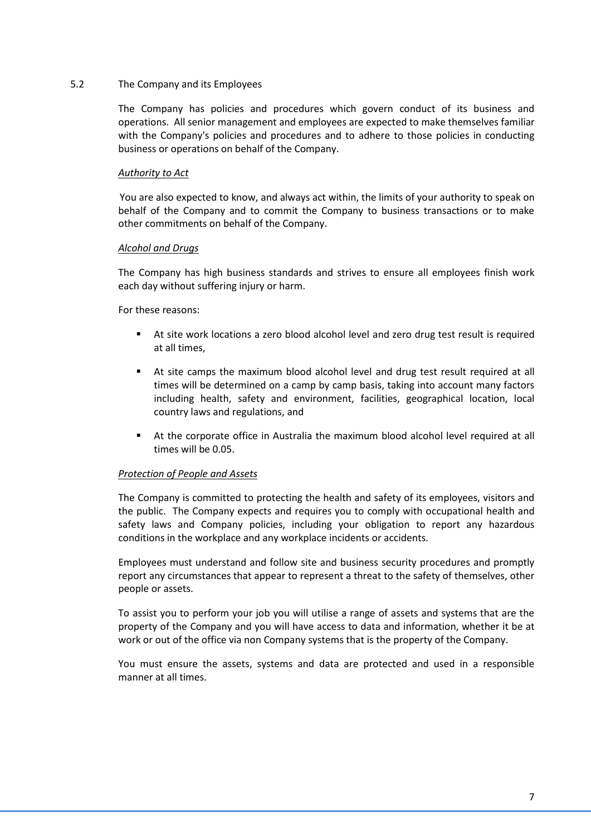#### 5.2 The Company and its Employees

The Company has policies and procedures which govern conduct of its business and operations. All senior management and employees are expected to make themselves familiar with the Company's policies and procedures and to adhere to those policies in conducting business or operations on behalf of the Company.

#### *Authority to Act*

You are also expected to know, and always act within, the limits of your authority to speak on behalf of the Company and to commit the Company to business transactions or to make other commitments on behalf of the Company.

#### *Alcohol and Drugs*

The Company has high business standards and strives to ensure all employees finish work each day without suffering injury or harm.

#### For these reasons:

- At site work locations a zero blood alcohol level and zero drug test result is required at all times,
- At site camps the maximum blood alcohol level and drug test result required at all times will be determined on a camp by camp basis, taking into account many factors including health, safety and environment, facilities, geographical location, local country laws and regulations, and
- At the corporate office in Australia the maximum blood alcohol level required at all times will be 0.05.

### *Protection of People and Assets*

The Company is committed to protecting the health and safety of its employees, visitors and the public. The Company expects and requires you to comply with occupational health and safety laws and Company policies, including your obligation to report any hazardous conditions in the workplace and any workplace incidents or accidents.

Employees must understand and follow site and business security procedures and promptly report any circumstances that appear to represent a threat to the safety of themselves, other people or assets.

To assist you to perform your job you will utilise a range of assets and systems that are the property of the Company and you will have access to data and information, whether it be at work or out of the office via non Company systems that is the property of the Company.

You must ensure the assets, systems and data are protected and used in a responsible manner at all times.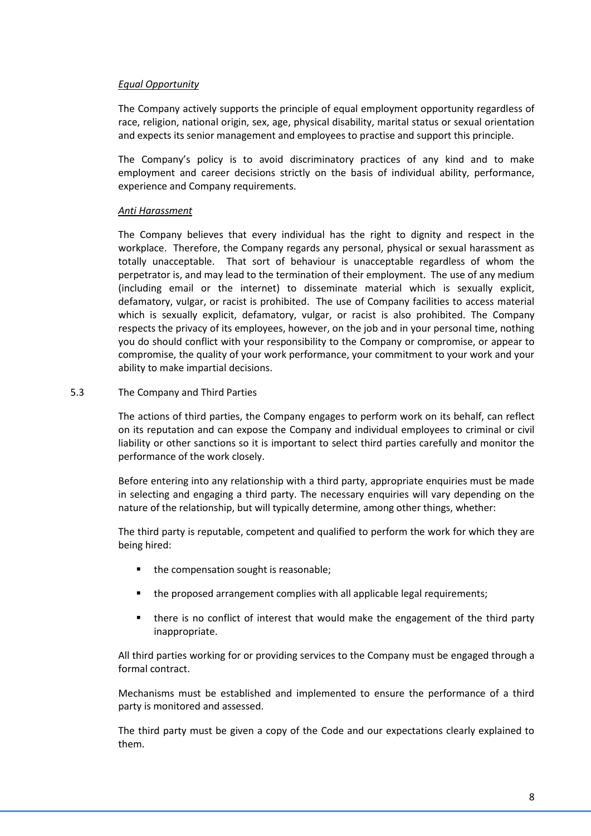# *Equal Opportunity*

The Company actively supports the principle of equal employment opportunity regardless of race, religion, national origin, sex, age, physical disability, marital status or sexual orientation and expects its senior management and employees to practise and support this principle.

The Company's policy is to avoid discriminatory practices of any kind and to make employment and career decisions strictly on the basis of individual ability, performance, experience and Company requirements.

### *Anti Harassment*

The Company believes that every individual has the right to dignity and respect in the workplace. Therefore, the Company regards any personal, physical or sexual harassment as totally unacceptable. That sort of behaviour is unacceptable regardless of whom the perpetrator is, and may lead to the termination of their employment. The use of any medium (including email or the internet) to disseminate material which is sexually explicit, defamatory, vulgar, or racist is prohibited. The use of Company facilities to access material which is sexually explicit, defamatory, vulgar, or racist is also prohibited. The Company respects the privacy of its employees, however, on the job and in your personal time, nothing you do should conflict with your responsibility to the Company or compromise, or appear to compromise, the quality of your work performance, your commitment to your work and your ability to make impartial decisions.

#### 5.3 The Company and Third Parties

The actions of third parties, the Company engages to perform work on its behalf, can reflect on its reputation and can expose the Company and individual employees to criminal or civil liability or other sanctions so it is important to select third parties carefully and monitor the performance of the work closely.

Before entering into any relationship with a third party, appropriate enquiries must be made in selecting and engaging a third party. The necessary enquiries will vary depending on the nature of the relationship, but will typically determine, among other things, whether:

The third party is reputable, competent and qualified to perform the work for which they are being hired:

- **the compensation sought is reasonable;**
- the proposed arrangement complies with all applicable legal requirements;
- there is no conflict of interest that would make the engagement of the third party inappropriate.

All third parties working for or providing services to the Company must be engaged through a formal contract.

Mechanisms must be established and implemented to ensure the performance of a third party is monitored and assessed.

The third party must be given a copy of the Code and our expectations clearly explained to them.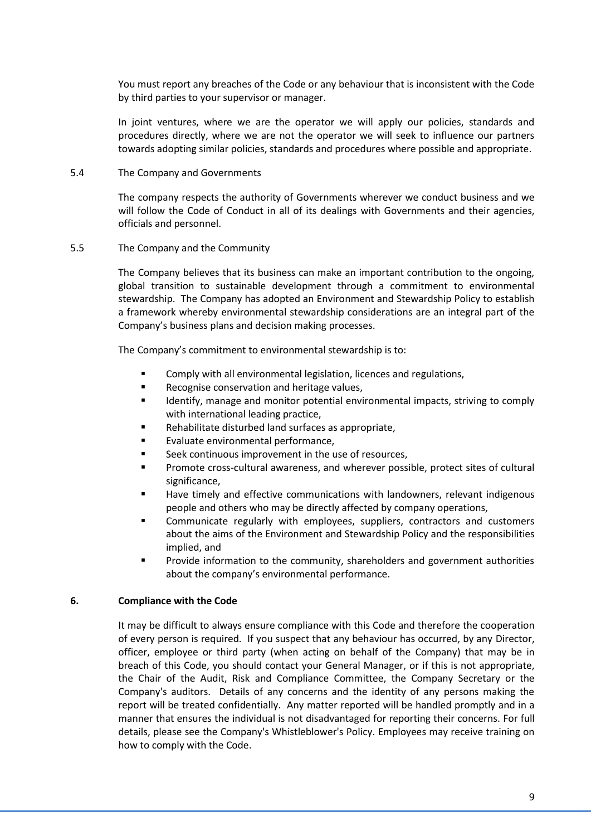You must report any breaches of the Code or any behaviour that is inconsistent with the Code by third parties to your supervisor or manager.

In joint ventures, where we are the operator we will apply our policies, standards and procedures directly, where we are not the operator we will seek to influence our partners towards adopting similar policies, standards and procedures where possible and appropriate.

#### 5.4 The Company and Governments

The company respects the authority of Governments wherever we conduct business and we will follow the Code of Conduct in all of its dealings with Governments and their agencies, officials and personnel.

#### 5.5 The Company and the Community

The Company believes that its business can make an important contribution to the ongoing, global transition to sustainable development through a commitment to environmental stewardship. The Company has adopted an Environment and Stewardship Policy to establish a framework whereby environmental stewardship considerations are an integral part of the Company's business plans and decision making processes.

The Company's commitment to environmental stewardship is to:

- Comply with all environmental legislation, licences and regulations,
- Recognise conservation and heritage values,
- Identify, manage and monitor potential environmental impacts, striving to comply with international leading practice,
- Rehabilitate disturbed land surfaces as appropriate,
- Evaluate environmental performance,
- **Seek continuous improvement in the use of resources,**
- Promote cross-cultural awareness, and wherever possible, protect sites of cultural significance,
- Have timely and effective communications with landowners, relevant indigenous people and others who may be directly affected by company operations,
- Communicate regularly with employees, suppliers, contractors and customers about the aims of the Environment and Stewardship Policy and the responsibilities implied, and
- Provide information to the community, shareholders and government authorities about the company's environmental performance.

#### **6. Compliance with the Code**

It may be difficult to always ensure compliance with this Code and therefore the cooperation of every person is required. If you suspect that any behaviour has occurred, by any Director, officer, employee or third party (when acting on behalf of the Company) that may be in breach of this Code, you should contact your General Manager, or if this is not appropriate, the Chair of the Audit, Risk and Compliance Committee, the Company Secretary or the Company's auditors. Details of any concerns and the identity of any persons making the report will be treated confidentially. Any matter reported will be handled promptly and in a manner that ensures the individual is not disadvantaged for reporting their concerns. For full details, please see the Company's Whistleblower's Policy. Employees may receive training on how to comply with the Code.